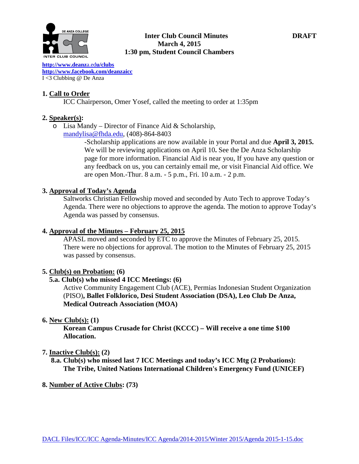

# **Inter Club Council Minutes DRAFT March 4, 2015 1:30 pm, Student Council Chambers**

**[http://www.deanz](http://www.deanza.edu/clubs)**a.ed**u/clubs [http://www.facebook.com/deanzaicc](http://www.facebook.com/home.php%23!/group.php?gid=59034552686)** I <3 Clubbing @ De Anza

# **1. Call to Order**

ICC Chairperson, Omer Yosef, called the meeting to order at 1:35pm

# **2. Speaker(s):**

o Lisa Mandy – Director of Finance Aid & Scholarship, [mandylisa@fhda.edu,](mailto:mandylisa@fhda.edu) (408)-864-8403

> -Scholarship applications are now available in your Portal and due **April 3, 2015.**  We will be reviewing applications on April 10**.** See the [De Anza Scholarship](http://www.deanza.edu/financialaid/scholarship.html)  [page](http://www.deanza.edu/financialaid/scholarship.html) for more information. Financial Aid is near you, If you have any question or any feedback on us, you can certainly email me, or visit Financial Aid office. We are open Mon.-Thur. 8 a.m. - 5 p.m., Fri. 10 a.m. - 2 p.m.

# **3. Approval of Today's Agenda**

Saltworks Christian Fellowship moved and seconded by Auto Tech to approve Today's Agenda. There were no objections to approve the agenda. The motion to approve Today's Agenda was passed by consensus.

# **4. Approval of the Minutes – February 25, 2015**

APASL moved and seconded by ETC to approve the Minutes of February 25, 2015. There were no objections for approval. The motion to the Minutes of February 25, 2015 was passed by consensus.

#### **5. Club(s) on Probation: (6)**

# **5.a. Club(s) who missed 4 ICC Meetings: (6)**

Active Community Engagement Club (ACE), Permias Indonesian Student Organization (PISO)**, Ballet Folklorico, Desi Student Association (DSA), Leo Club De Anza, Medical Outreach Association (MOA)**

# **6. New Club(s): (1)**

**Korean Campus Crusade for Christ (KCCC) – Will receive a one time \$100 Allocation.**

#### **7. Inactive Club(s): (2)**

 **8.a. Club(s) who missed last 7 ICC Meetings and today's ICC Mtg (2 Probations): The Tribe, United Nations International Children's Emergency Fund (UNICEF)**

#### **8. Number of Active Clubs: (73)**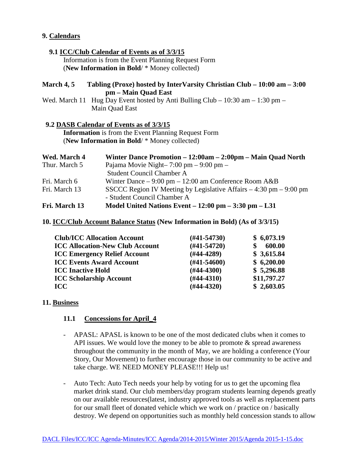# **9. Calendars**

#### **9.1 ICC/Club Calendar of Events as of 3/3/15**

 Information is from the Event Planning Request Form (**New Information in Bold**/ \* Money collected)

### **March 4, 5 Tabling (Proxe) hosted by InterVarsity Christian Club – 10:00 am – 3:00 pm – Main Quad East**

Wed. March 11 Hug Day Event hosted by Anti Bulling Club – 10:30 am – 1:30 pm – Main Quad East

#### **9.2 DASB Calendar of Events as of 3/3/15**

 **Information** is from the Event Planning Request Form (**New Information in Bold**/ \* Money collected)

| Wed. March 4  | Winter Dance Promotion - 12:00am - 2:00pm - Main Quad North            |
|---------------|------------------------------------------------------------------------|
| Thur. March 5 | Pajama Movie Night- $7:00 \text{ pm} - 9:00 \text{ pm} -$              |
|               | <b>Student Council Chamber A</b>                                       |
| Fri. March 6  | Winter Dance $-9:00 \text{ pm} - 12:00 \text{ am Conference Room A&B}$ |
| Fri. March 13 | SSCCC Region IV Meeting by Legislative Affairs $-4:30$ pm $-9:00$ pm   |
|               | - Student Council Chamber A                                            |
| Fri. March 13 | Model United Nations Event $-12:00$ pm $-3:30$ pm $-1.31$              |

**10. ICC/Club Account Balance Status (New Information in Bold) (As of 3/3/15)**

| <b>Club/ICC Allocation Account</b>     | $(\#41 - 54730)$ | \$6,073.19  |
|----------------------------------------|------------------|-------------|
| <b>ICC Allocation-New Club Account</b> | $(H41-54720)$    | 600.00      |
| <b>ICC Emergency Relief Account</b>    | $(H44-4289)$     | \$3,615.84  |
| <b>ICC Events Award Account</b>        | $(H41-54600)$    | \$6,200.00  |
| <b>ICC Inactive Hold</b>               | $(\#44-4300)$    | \$5,296.88  |
| <b>ICC Scholarship Account</b>         | $(H44-4310)$     | \$11,797.27 |
| <b>ICC</b>                             | $(H44-4320)$     | \$2,603.05  |

#### **11. Business**

#### **11.1 Concessions for April\_4**

- APASL: APASL is known to be one of the most dedicated clubs when it comes to API issues. We would love the money to be able to promote  $\&$  spread awareness throughout the community in the month of May, we are holding a conference (Your Story, Our Movement) to further encourage those in our community to be active and take charge. WE NEED MONEY PLEASE!!! Help us!
- Auto Tech: Auto Tech needs your help by voting for us to get the upcoming flea market drink stand. Our club members/day program students learning depends greatly on our available resources(latest, industry approved tools as well as replacement parts for our small fleet of donated vehicle which we work on / practice on / basically destroy. We depend on opportunities such as monthly held concession stands to allow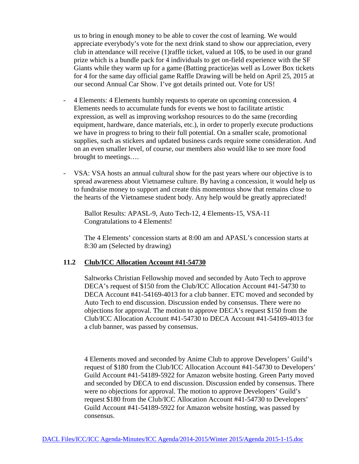us to bring in enough money to be able to cover the cost of learning. We would appreciate everybody's vote for the next drink stand to show our appreciation, every club in attendance will receive (1)raffle ticket, valued at 10\$, to be used in our grand prize which is a bundle pack for 4 individuals to get on-field experience with the SF Giants while they warm up for a game (Batting practice)as well as Lower Box tickets for 4 for the same day official game Raffle Drawing will be held on April 25, 2015 at our second Annual Car Show. I've got details printed out. Vote for US!

- 4 Elements: 4 Elements humbly requests to operate on upcoming concession. 4 Elements needs to accumulate funds for events we host to facilitate artistic expression, as well as improving workshop resources to do the same (recording equipment, hardware, dance materials, etc.), in order to properly execute productions we have in progress to bring to their full potential. On a smaller scale, promotional supplies, such as stickers and updated business cards require some consideration. And on an even smaller level, of course, our members also would like to see more food brought to meetings….
- VSA: VSA hosts an annual cultural show for the past years where our objective is to spread awareness about Vietnamese culture. By having a concession, it would help us to fundraise money to support and create this momentous show that remains close to the hearts of the Vietnamese student body. Any help would be greatly appreciated!

 Ballot Results: APASL-9, Auto Tech-12, 4 Elements-15, VSA-11 Congratulations to 4 Elements!

The 4 Elements' concession starts at 8:00 am and APASL's concession starts at 8:30 am (Selected by drawing)

### **11.2 Club/ICC Allocation Account #41-54730**

Saltworks Christian Fellowship moved and seconded by Auto Tech to approve DECA's request of \$150 from the Club/ICC Allocation Account #41-54730 to DECA Account #41-54169-4013 for a club banner. ETC moved and seconded by Auto Tech to end discussion. Discussion ended by consensus. There were no objections for approval. The motion to approve DECA's request \$150 from the Club/ICC Allocation Account #41-54730 to DECA Account #41-54169-4013 for a club banner, was passed by consensus.

4 Elements moved and seconded by Anime Club to approve Developers' Guild's request of \$180 from the Club/ICC Allocation Account #41-54730 to Developers' Guild Account #41-54189-5922 for Amazon website hosting. Green Party moved and seconded by DECA to end discussion. Discussion ended by consensus. There were no objections for approval. The motion to approve Developers' Guild's request \$180 from the Club/ICC Allocation Account #41-54730 to Developers' Guild Account #41-54189-5922 for Amazon website hosting, was passed by consensus.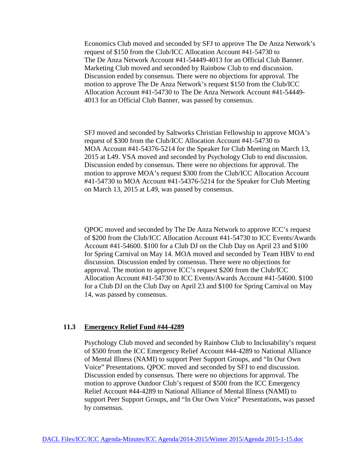Economics Club moved and seconded by SFJ to approve The De Anza Network's request of \$150 from the Club/ICC Allocation Account #41-54730 to The De Anza Network Account #41-54449-4013 for an Official Club Banner. Marketing Club moved and seconded by Rainbow Club to end discussion. Discussion ended by consensus. There were no objections for approval. The motion to approve The De Anza Network's request \$150 from the Club/ICC Allocation Account #41-54730 to The De Anza Network Account #41-54449- 4013 for an Official Club Banner, was passed by consensus.

SFJ moved and seconded by Saltworks Christian Fellowship to approve MOA's request of \$300 from the Club/ICC Allocation Account #41-54730 to MOA Account #41-54376-5214 for the Speaker for Club Meeting on March 13, 2015 at L49. VSA moved and seconded by Psychology Club to end discussion. Discussion ended by consensus. There were no objections for approval. The motion to approve MOA's request \$300 from the Club/ICC Allocation Account #41-54730 to MOA Account #41-54376-5214 for the Speaker for Club Meeting on March 13, 2015 at L49, was passed by consensus.

QPOC moved and seconded by The De Anza Network to approve ICC's request of \$200 from the Club/ICC Allocation Account #41-54730 to ICC Events/Awards Account #41-54600. \$100 for a Club DJ on the Club Day on April 23 and \$100 for Spring Carnival on May 14. MOA moved and seconded by Team HBV to end discussion. Discussion ended by consensus. There were no objections for approval. The motion to approve ICC's request \$200 from the Club/ICC Allocation Account #41-54730 to ICC Events/Awards Account #41-54600. \$100 for a Club DJ on the Club Day on April 23 and \$100 for Spring Carnival on May 14, was passed by consensus.

### **11.3 Emergency Relief Fund #44-4289**

Psychology Club moved and seconded by Rainbow Club to Inclusability's request of \$500 from the ICC Emergency Relief Account #44-4289 to National Alliance of Mental Illness (NAMI) to support Peer Support Groups, and "In Our Own Voice" Presentations. QPOC moved and seconded by SFJ to end discussion. Discussion ended by consensus. There were no objections for approval. The motion to approve Outdoor Club's request of \$500 from the ICC Emergency Relief Account #44-4289 to National Alliance of Mental Illness (NAMI) to support Peer Support Groups, and "In Our Own Voice" Presentations, was passed by consensus.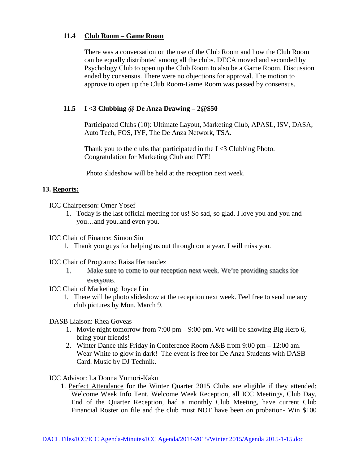# **11.4 Club Room – Game Room**

There was a conversation on the use of the Club Room and how the Club Room can be equally distributed among all the clubs. DECA moved and seconded by Psychology Club to open up the Club Room to also be a Game Room. Discussion ended by consensus. There were no objections for approval. The motion to approve to open up the Club Room-Game Room was passed by consensus.

# **11.5 I <3 Clubbing @ De Anza Drawing – 2@\$50**

Participated Clubs (10): Ultimate Layout, Marketing Club, APASL, ISV, DASA, Auto Tech, FOS, IYF, The De Anza Network, TSA.

Thank you to the clubs that participated in the  $I \leq 3$  Clubbing Photo. Congratulation for Marketing Club and IYF!

Photo slideshow will be held at the reception next week.

# **13. Reports:**

ICC Chairperson: Omer Yosef

1. Today is the last official meeting for us! So sad, so glad. I love you and you and you…and you..and even you.

ICC Chair of Finance: Simon Siu

1. Thank you guys for helping us out through out a year. I will miss you.

ICC Chair of Programs: Raisa Hernandez

- 1. Make sure to come to our reception next week. We're providing snacks for everyone.
- ICC Chair of Marketing: Joyce Lin
	- 1. There will be photo slideshow at the reception next week. Feel free to send me any club pictures by Mon. March 9.

DASB Liaison: Rhea Goveas

- 1. Movie night tomorrow from 7:00 pm 9:00 pm. We will be showing Big Hero 6, bring your friends!
- 2. Winter Dance this Friday in Conference Room A&B from 9:00 pm 12:00 am. Wear White to glow in dark! The event is free for De Anza Students with DASB Card. Music by DJ Technik.

ICC Advisor: La Donna Yumori-Kaku

1. Perfect Attendance for the Winter Quarter 2015 Clubs are eligible if they attended: Welcome Week Info Tent, Welcome Week Reception, all ICC Meetings, Club Day, End of the Quarter Reception, had a monthly Club Meeting, have current Club Financial Roster on file and the club must NOT have been on probation- Win \$100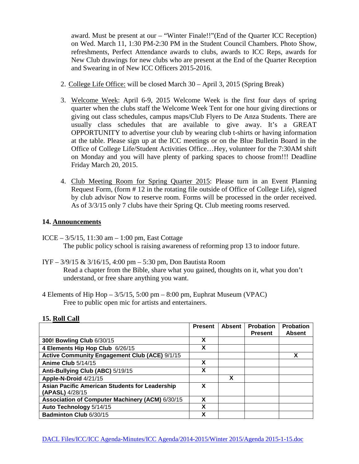award. Must be present at our – "Winter Finale!!"(End of the Quarter ICC Reception) on Wed. March 11, 1:30 PM-2:30 PM in the Student Council Chambers. Photo Show, refreshments, Perfect Attendance awards to clubs, awards to ICC Reps, awards for New Club drawings for new clubs who are present at the End of the Quarter Reception and Swearing in of New ICC Officers 2015-2016.

- 2. College Life Office: will be closed March 30 April 3, 2015 (Spring Break)
- 3. Welcome Week: April 6-9, 2015 Welcome Week is the first four days of spring quarter when the clubs staff the Welcome Week Tent for one hour giving directions or giving out class schedules, campus maps/Club Flyers to De Anza Students. There are usually class schedules that are available to give away. It's a GREAT OPPORTUNITY to advertise your club by wearing club t-shirts or having information at the table. Please sign up at the ICC meetings or on the Blue Bulletin Board in the Office of College Life/Student Activities Office…Hey, volunteer for the 7:30AM shift on Monday and you will have plenty of parking spaces to choose from!!! Deadline Friday March 20, 2015.
- 4. Club Meeting Room for Spring Quarter 2015: Please turn in an Event Planning Request Form, (form # 12 in the rotating file outside of Office of College Life), signed by club advisor Now to reserve room. Forms will be processed in the order received. As of 3/3/15 only 7 clubs have their Spring Qt. Club meeting rooms reserved.

# **14. Announcements**

- ICCE 3/5/15, 11:30 am 1:00 pm, East Cottage The public policy school is raising awareness of reforming prop 13 to indoor future.
- IYF 3/9/15 & 3/16/15, 4:00 pm 5:30 pm, Don Bautista Room Read a chapter from the Bible, share what you gained, thoughts on it, what you don't understand, or free share anything you want.
- 4 Elements of Hip Hop 3/5/15, 5:00 pm 8:00 pm, Euphrat Museum (VPAC) Free to public open mic for artists and entertainers.

|                                                                          | <b>Present</b> | <b>Absent</b> | <b>Probation</b> | <b>Probation</b> |
|--------------------------------------------------------------------------|----------------|---------------|------------------|------------------|
|                                                                          |                |               | <b>Present</b>   | <b>Absent</b>    |
| 300! Bowling Club 6/30/15                                                | X              |               |                  |                  |
| 4 Elements Hip Hop Club 6/26/15                                          | X              |               |                  |                  |
| <b>Active Community Engagement Club (ACE) 9/1/15</b>                     |                |               |                  | X                |
| Anime Club 5/14/15                                                       | X              |               |                  |                  |
| Anti-Bullying Club (ABC) 5/19/15                                         | X              |               |                  |                  |
| Apple-N-Droid 4/21/15                                                    |                | X             |                  |                  |
| <b>Asian Pacific American Students for Leadership</b><br>(APASL) 4/28/15 | X              |               |                  |                  |
| Association of Computer Machinery (ACM) 6/30/15                          | X              |               |                  |                  |
| Auto Technology 5/14/15                                                  | X              |               |                  |                  |
| Badminton Club 6/30/15                                                   | X              |               |                  |                  |

#### **15. Roll Call**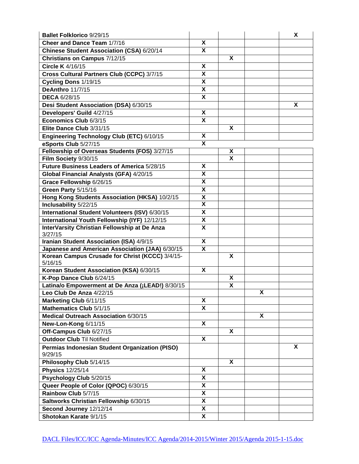| <b>Ballet Folklorico 9/29/15</b>                           |                           |   |   | X |
|------------------------------------------------------------|---------------------------|---|---|---|
| Cheer and Dance Team 1/7/16                                |                           |   |   |   |
| Chinese Student Association (CSA) 6/20/14                  |                           |   |   |   |
| Christians on Campus 7/12/15                               |                           | X |   |   |
| Circle K 4/16/15                                           | X                         |   |   |   |
| Cross Cultural Partners Club (CCPC) 3/7/15                 |                           |   |   |   |
| Cycling Dons 1/19/15                                       | X                         |   |   |   |
| <b>DeAnthro 11/7/15</b>                                    | X                         |   |   |   |
| <b>DECA 6/28/15</b>                                        | X                         |   |   |   |
| Desi Student Association (DSA) 6/30/15                     |                           |   |   | X |
| Developers' Guild 4/27/15                                  | X                         |   |   |   |
| Economics Club 6/3/15                                      | $\overline{\mathbf{x}}$   |   |   |   |
| Elite Dance Club 3/31/15                                   |                           | X |   |   |
| Engineering Technology Club (ETC) 6/10/15                  | X                         |   |   |   |
| eSports Club 5/27/15                                       | $\overline{\mathbf{x}}$   |   |   |   |
| Fellowship of Overseas Students (FOS) 3/27/15              |                           | X |   |   |
| Film Society 9/30/15                                       |                           | X |   |   |
| Future Business Leaders of America 5/28/15                 | X                         |   |   |   |
| Global Financial Analysts (GFA) 4/20/15                    | X                         |   |   |   |
| Grace Fellowship 6/26/15                                   | X                         |   |   |   |
| Green Party 5/15/16                                        | $\boldsymbol{\mathsf{X}}$ |   |   |   |
| Hong Kong Students Association (HKSA) 10/2/15              | $\pmb{\mathsf{X}}$        |   |   |   |
| Inclusability 5/22/15                                      | X                         |   |   |   |
| International Student Volunteers (ISV) 6/30/15             | X                         |   |   |   |
| International Youth Fellowship (IYF) 12/12/15              | X                         |   |   |   |
| InterVarsity Christian Fellowship at De Anza               | X                         |   |   |   |
| 3/27/15                                                    |                           |   |   |   |
| Iranian Student Association (ISA) 4/9/15                   | X                         |   |   |   |
| Japanese and American Association (JAA) 6/30/15            | X                         | X |   |   |
| Korean Campus Crusade for Christ (KCCC) 3/4/15-<br>5/16/15 |                           |   |   |   |
| Korean Student Association (KSA) 6/30/15                   | X                         |   |   |   |
| K-Pop Dance Club 6/24/15                                   |                           | X |   |   |
| Latina/o Empowerment at De Anza (¡LEAD!) 8/30/15           |                           | X |   |   |
| Leo Club De Anza 4/22/15                                   |                           |   | X |   |
| Marketing Club 6/11/15                                     | X                         |   |   |   |
| Mathematics Club 5/1/15                                    | $\overline{\mathbf{x}}$   |   |   |   |
| Medical Outreach Association 6/30/15                       |                           |   | X |   |
| New-Lon-Kong 6/11/15                                       | X                         |   |   |   |
| Off-Campus Club 6/27/15                                    |                           | X |   |   |
| <b>Outdoor Club Til Notified</b>                           | $\overline{\mathbf{x}}$   |   |   |   |
| Permias Indonesian Student Organization (PISO)             |                           |   |   | X |
| 9/29/15                                                    |                           |   |   |   |
| Philosophy Club 5/14/15                                    |                           | X |   |   |
| <b>Physics 12/25/14</b>                                    | X                         |   |   |   |
| Psychology Club 5/20/15                                    | X                         |   |   |   |
| Queer People of Color (QPOC) 6/30/15                       | X                         |   |   |   |
| Rainbow Club 5/7/15                                        | X                         |   |   |   |
| Saltworks Christian Fellowship 6/30/15                     | X                         |   |   |   |
| Second Journey 12/12/14                                    | X                         |   |   |   |
| Shotokan Karate 9/1/15                                     | X                         |   |   |   |